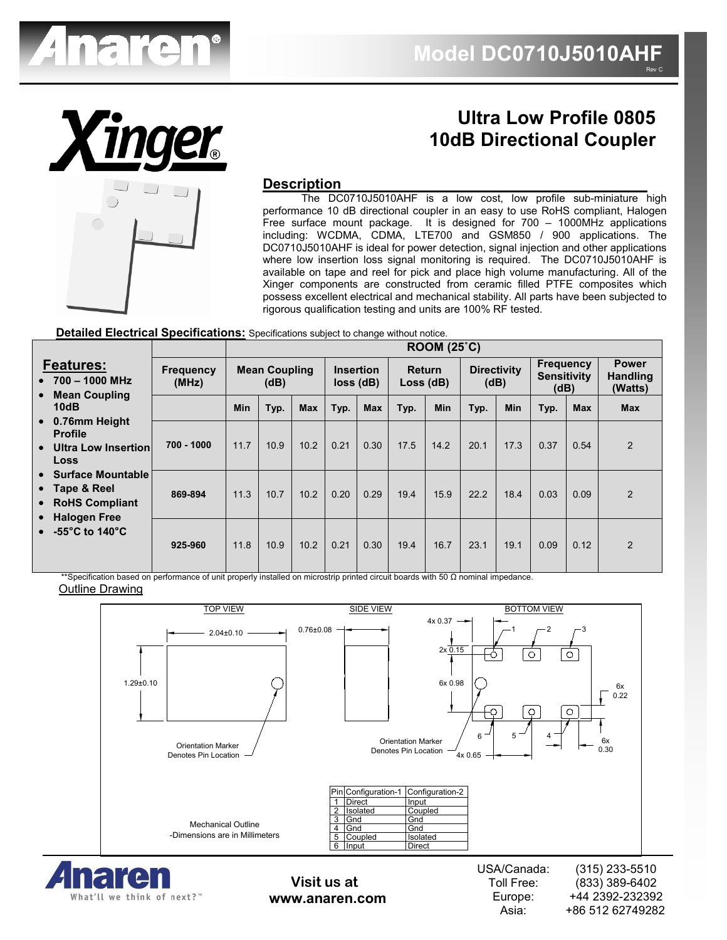



What'll we think of next?"

# **Ultra Low Profile 0805 10dB Directional Coupler**

### **Description**

 The DC0710J5010AHF is a low cost, low profile sub-miniature high performance 10 dB directional coupler in an easy to use RoHS compliant, Halogen Free surface mount package. It is designed for 700 – 1000MHz applications including: WCDMA, CDMA, LTE700 and GSM850 / 900 applications. The DC0710J5010AHF is ideal for power detection, signal injection and other applications where low insertion loss signal monitoring is required. The DC0710J5010AHF is available on tape and reel for pick and place high volume manufacturing. All of the Xinger components are constructed from ceramic filled PTFE composites which possess excellent electrical and mechanical stability. All parts have been subjected to rigorous qualification testing and units are 100% RF tested.

#### **Detailed Electrical Specifications:** Specifications subject to change without notice.

|                                                                                                                                  |                           | ROOM (25 <sup>°</sup> C)     |      |                                     |      |                     |      |                            |      |                                                |      |                                            |            |
|----------------------------------------------------------------------------------------------------------------------------------|---------------------------|------------------------------|------|-------------------------------------|------|---------------------|------|----------------------------|------|------------------------------------------------|------|--------------------------------------------|------------|
| <b>Features:</b><br>$\bullet$ 700 - 1000 MHz<br><b>Mean Coupling</b><br>$\bullet$<br>10dB                                        | <b>Frequency</b><br>(MHz) | <b>Mean Coupling</b><br>(dB) |      | <b>Insertion</b><br>$loss$ ( $dB$ ) |      | Return<br>Loss (dB) |      | <b>Directivity</b><br>(dB) |      | <b>Frequency</b><br><b>Sensitivity</b><br>(dB) |      | <b>Power</b><br><b>Handling</b><br>(Watts) |            |
|                                                                                                                                  |                           | Min                          | Typ. | <b>Max</b>                          | Typ. | <b>Max</b>          | Typ. | Min                        | Typ. | Min                                            | Typ. | <b>Max</b>                                 | <b>Max</b> |
| 0.76mm Height<br>$\bullet$<br><b>Profile</b><br>Ultra Low Insertion<br>$\bullet$                                                 | 700 - 1000                | 11.7                         | 10.9 | 10.2                                | 0.21 | 0.30                | 17.5 | 14.2                       | 20.1 | 17.3                                           | 0.37 | 0.54                                       | 2          |
| Loss                                                                                                                             |                           |                              |      |                                     |      |                     |      |                            |      |                                                |      |                                            |            |
| • Surface Mountable<br>$\bullet$ Tape & Reel<br>• RoHS Compliant<br><b>Halogen Free</b><br>$\bullet$<br>$\bullet$ -55°C to 140°C | 869-894                   | 11.3                         | 10.7 | 10.2                                | 0.20 | 0.29                | 19.4 | 15.9                       | 22.2 | 18.4                                           | 0.03 | 0.09                                       | 2          |
|                                                                                                                                  | 925-960                   | 11.8                         | 10.9 | 10.2                                | 0.21 | 0.30                | 19.4 | 16.7                       | 23.1 | 19.1                                           | 0.09 | 0.12                                       | 2          |

\*\*Specification based on performance of unit properly installed on microstrip printed circuit boards with 50 Ω nominal impedance. Outline Drawing



**www.anaren.com**

Toll Free: Europe: Asia: (833) 389-6402 +44 2392-232392 +86 512 62749282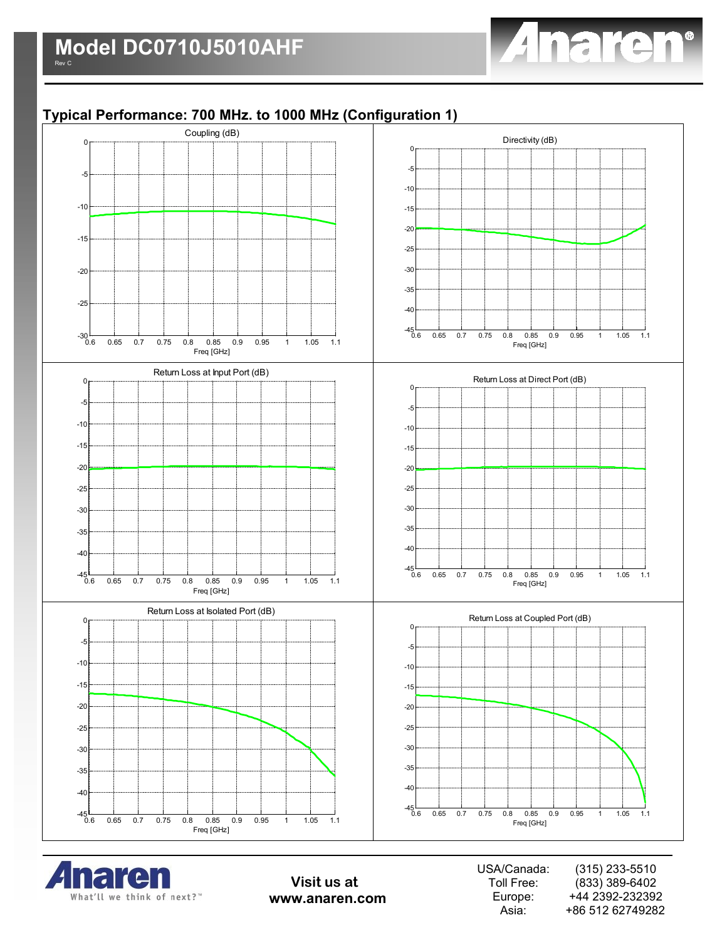

# **Typical Performance: 700 MHz. to 1000 MHz (Configuration 1)**





**Visit us at www.anaren.com**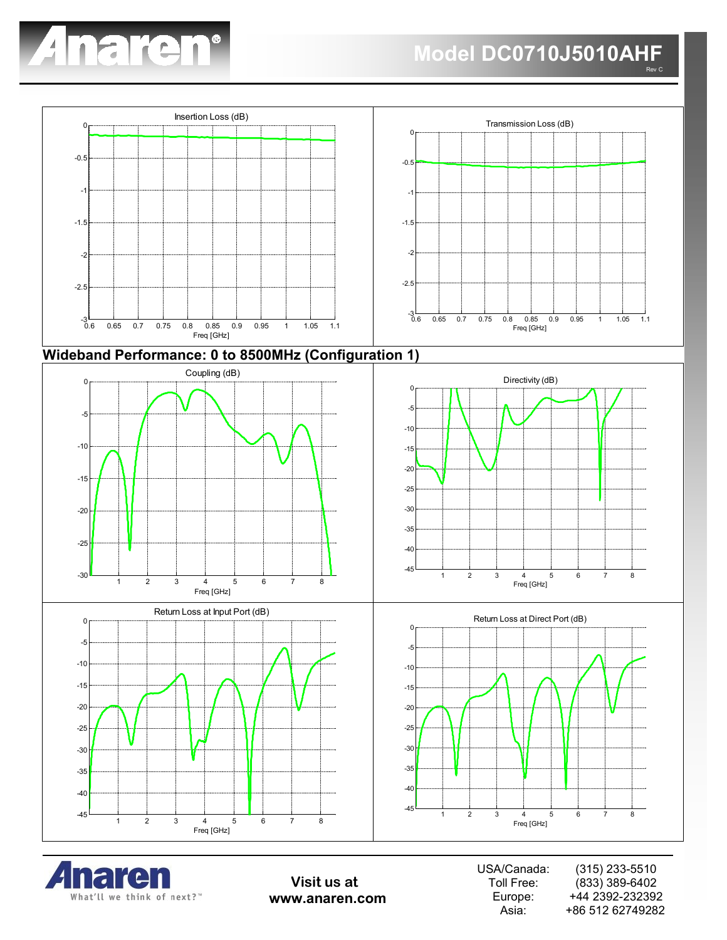





**Visit us at www.anaren.com**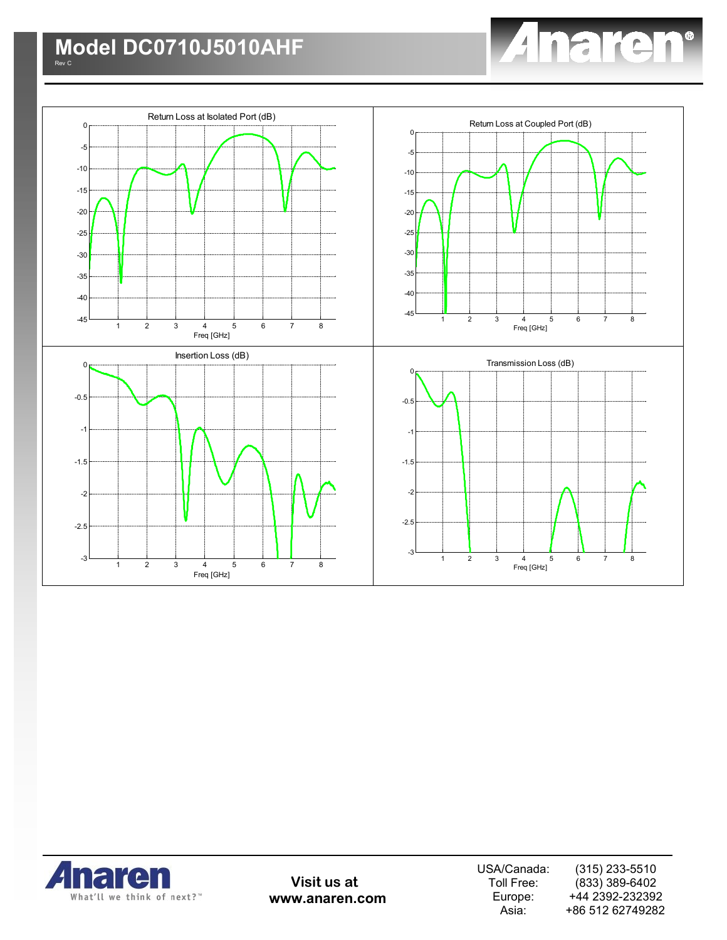





**Visit us at www.anaren.com**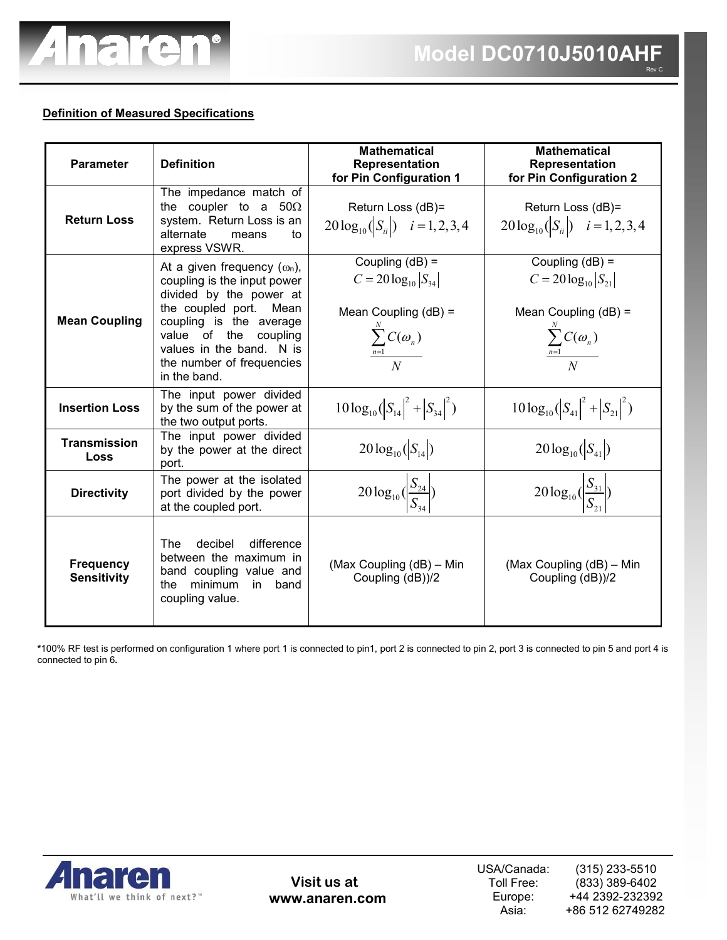

### **Definition of Measured Specifications**

| <b>Parameter</b>                       | <b>Definition</b>                                                                                                                                                                                                                                    | <b>Mathematical</b><br>Representation<br>for Pin Configuration 1                                                     | <b>Mathematical</b><br>Representation<br>for Pin Configuration 2                                                     |
|----------------------------------------|------------------------------------------------------------------------------------------------------------------------------------------------------------------------------------------------------------------------------------------------------|----------------------------------------------------------------------------------------------------------------------|----------------------------------------------------------------------------------------------------------------------|
| <b>Return Loss</b>                     | The impedance match of<br>the coupler to a $50\Omega$<br>system. Return Loss is an<br>alternate<br>means<br>to<br>express VSWR.                                                                                                                      | Return Loss (dB)=<br>$20\log_{10}( S_{ii} )$ $i=1,2,3,4$                                                             | Return Loss (dB)=<br>$20\log_{10}( S_{ii} )$ $i=1,2,3,4$                                                             |
| <b>Mean Coupling</b>                   | At a given frequency $(\omega_n)$ ,<br>coupling is the input power<br>divided by the power at<br>the coupled port. Mean<br>coupling is the average<br>value of the coupling<br>values in the band. N is<br>the number of frequencies<br>in the band. | Coupling $(dB)$ =<br>$C = 20 \log_{10}  S_{34} $<br>Mean Coupling $(dB)$ =<br>$\frac{\sum_{n=1}^{N} C(\omega_n)}{N}$ | Coupling $(dB) =$<br>$C = 20 \log_{10}  S_{21} $<br>Mean Coupling $(dB)$ =<br>$\frac{\sum_{n=1}^{N} C(\omega_n)}{N}$ |
| <b>Insertion Loss</b>                  | The input power divided<br>by the sum of the power at<br>the two output ports.                                                                                                                                                                       | $10\log_{10}( S_{14} ^2 +  S_{34} ^2)$                                                                               | $10\log_{10}( S_{41} ^2 +  S_{21} ^2)$                                                                               |
| Transmission<br><b>Loss</b>            | The input power divided<br>by the power at the direct<br>port.                                                                                                                                                                                       | $20\log_{10}( S_{14} )$                                                                                              | $20\log_{10}( S_{41} )$                                                                                              |
| <b>Directivity</b>                     | The power at the isolated<br>port divided by the power<br>at the coupled port.                                                                                                                                                                       | $20\log_{10}(\frac{S_{24}}{S_{24}})$                                                                                 | $20\log_{10}\left(\frac{S_{31}}{S_{21}}\right)$                                                                      |
| <b>Frequency</b><br><b>Sensitivity</b> | decibel<br>difference<br>The<br>between the maximum in<br>band coupling value and<br>minimum<br>the<br>in.<br>band<br>coupling value.                                                                                                                | (Max Coupling (dB) - Min<br>Coupling (dB))/2                                                                         | (Max Coupling (dB) - Min<br>Coupling (dB))/2                                                                         |

**\***100% RF test is performed on configuration 1 where port 1 is connected to pin1, port 2 is connected to pin 2, port 3 is connected to pin 5 and port 4 is connected to pin 6**.** 



**Visit us at www.anaren.com**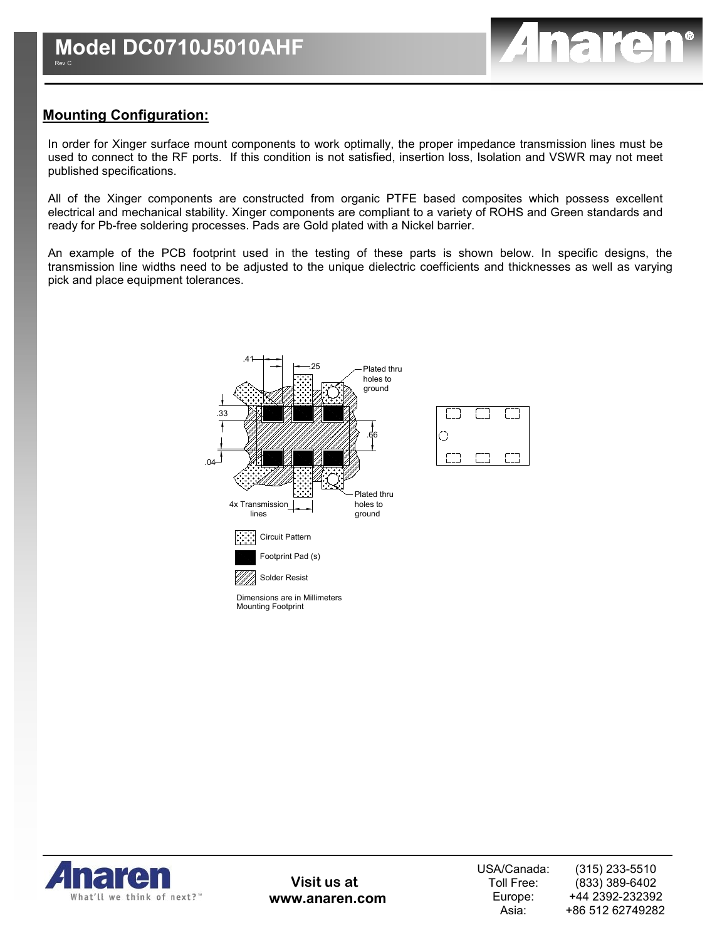

### **Mounting Configuration:**

In order for Xinger surface mount components to work optimally, the proper impedance transmission lines must be used to connect to the RF ports. If this condition is not satisfied, insertion loss, Isolation and VSWR may not meet published specifications.

All of the Xinger components are constructed from organic PTFE based composites which possess excellent electrical and mechanical stability. Xinger components are compliant to a variety of ROHS and Green standards and ready for Pb-free soldering processes. Pads are Gold plated with a Nickel barrier.

An example of the PCB footprint used in the testing of these parts is shown below. In specific designs, the transmission line widths need to be adjusted to the unique dielectric coefficients and thicknesses as well as varying pick and place equipment tolerances.



Mounting Footprint Dimensions are in Millimeters



**Visit us at www.anaren.com**